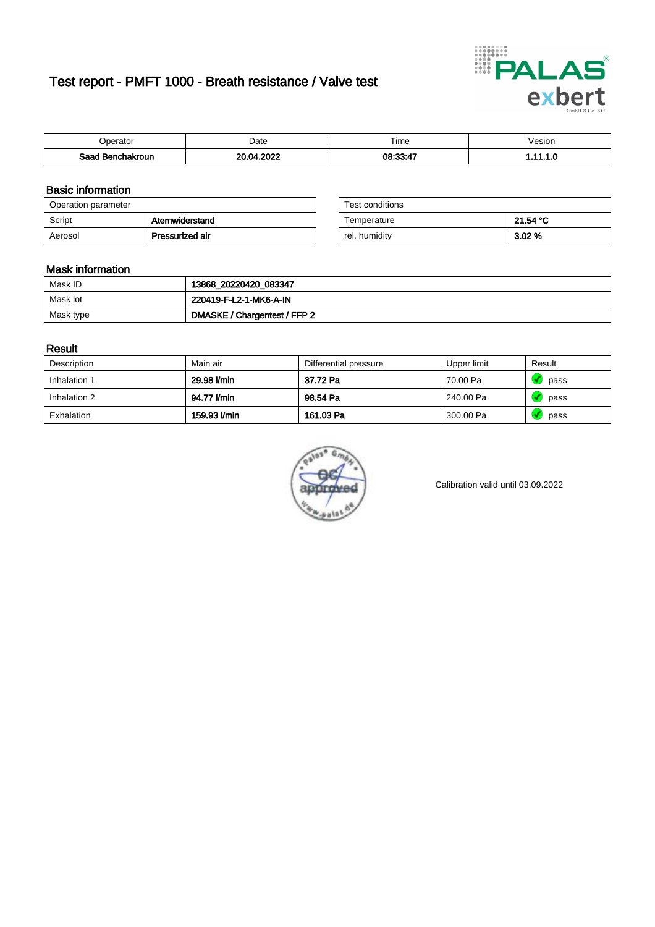# Test report - PMFT 1000 - Breath resistance / Valve test



| )perator               | Date                    | $- \cdot$<br>Гіmе | esion |
|------------------------|-------------------------|-------------------|-------|
| המס<br>hakroun<br>32 H | onos<br>oc<br>ΩA<br>UZ. | 08:33:47          | .     |

### Basic information

| Operation parameter |                 | Test conditions |          |
|---------------------|-----------------|-----------------|----------|
| Script              | Atemwiderstand  | Temperature     | 21.54 °C |
| Aerosol             | Pressurized air | rel. humidity   | $3.02\%$ |

| Test conditions |          |
|-----------------|----------|
| Temperature     | 21.54 °C |
| rel. humidity   | 3.02%    |

### Mask information

| Mask ID   | 13868_20220420_083347        |
|-----------|------------------------------|
| Mask lot  | 220419-F-L2-1-MK6-A-IN       |
| Mask type | DMASKE / Chargentest / FFP 2 |

### Result

| Description  | Main air     | Differential pressure | Upper limit | Result |
|--------------|--------------|-----------------------|-------------|--------|
| Inhalation 1 | 29.98 l/min  | 37.72 Pa              | 70.00 Pa    | pass   |
| Inhalation 2 | 94.77 l/min  | 98.54 Pa              | 240.00 Pa   | pass   |
| Exhalation   | 159.93 l/min | 161.03 Pa             | 300.00 Pa   | pass   |



Calibration valid until 03.09.2022